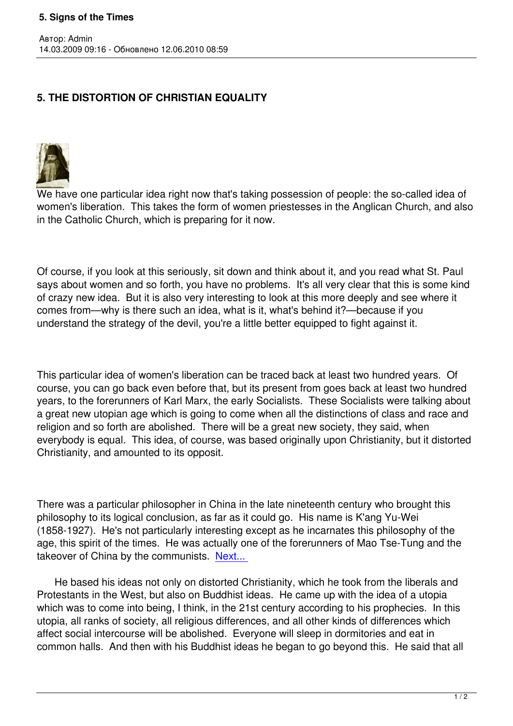## **5. THE DISTORTION OF CHRISTIAN EQUALITY**



Автор: Admin

We have one particular idea right now that's taking possession of people: the so-called idea of women's liberation. This takes the form of women priestesses in the Anglican Church, and also in the Catholic Church, which is preparing for it now.

Of course, if you look at this seriously, sit down and think about it, and you read what St. Paul says about women and so forth, you have no problems. It's all very clear that this is some kind of crazy new idea. But it is also very interesting to look at this more deeply and see where it comes from—why is there such an idea, what is it, what's behind it?—because if you understand the strategy of the devil, you're a little better equipped to fight against it.

This particular idea of women's liberation can be traced back at least two hundred years. Of course, you can go back even before that, but its present from goes back at least two hundred years, to the forerunners of Karl Marx, the early Socialists. These Socialists were talking about a great new utopian age which is going to come when all the distinctions of class and race and religion and so forth are abolished. There will be a great new society, they said, when everybody is equal. This idea, of course, was based originally upon Christianity, but it distorted Christianity, and amounted to its opposit.

There was a particular philosopher in China in the late nineteenth century who brought this philosophy to its logical conclusion, as far as it could go. His name is K'ang Yu-Wei (1858-1927). He's not particularly interesting except as he incarnates this philosophy of the age, this spirit of the times. He was actually one of the forerunners of Mao Tse-Tung and the takeover of China by the communists. Next...

 He based his ideas not only on distorted Christianity, which he took from the liberals and Protestants in the West, but also on B[uddhist i](index.php?option=com_content&task=view&id=435&Itemid=40)deas. He came up with the idea of a utopia which was to come into being, I think, in the 21st century according to his prophecies. In this utopia, all ranks of society, all religious differences, and all other kinds of differences which affect social intercourse will be abolished. Everyone will sleep in dormitories and eat in common halls. And then with his Buddhist ideas he began to go beyond this. He said that all